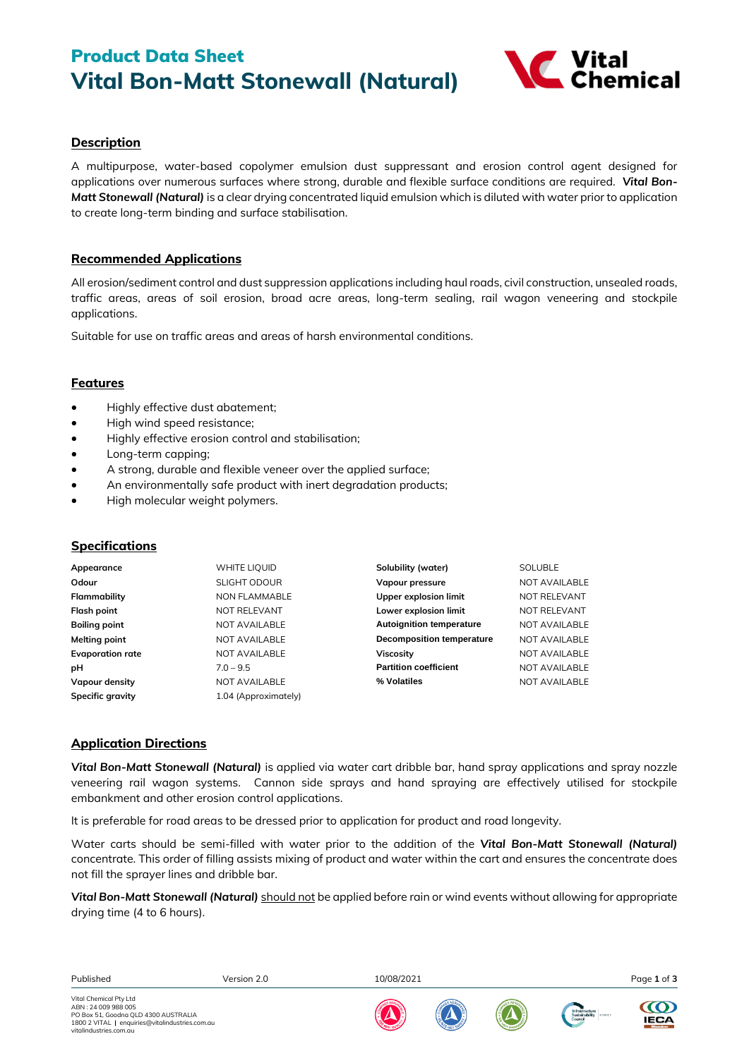# Product Data Sheet **Vital Bon-Matt Stonewall (Natural)**



# **Description**

A multipurpose, water-based copolymer emulsion dust suppressant and erosion control agent designed for applications over numerous surfaces where strong, durable and flexible surface conditions are required. *Vital Bon-Matt Stonewall (Natural)* is a clear drying concentrated liquid emulsion which is diluted with water prior to application to create long-term binding and surface stabilisation.

## **Recommended Applications**

All erosion/sediment control and dust suppression applications including haul roads, civil construction, unsealed roads, traffic areas, areas of soil erosion, broad acre areas, long-term sealing, rail wagon veneering and stockpile applications.

Suitable for use on traffic areas and areas of harsh environmental conditions.

# **Features**

- Highly effective dust abatement;
- High wind speed resistance;
- Highly effective erosion control and stabilisation;
- Long-term capping;
- A strong, durable and flexible veneer over the applied surface;
- An environmentally safe product with inert degradation products;
- High molecular weight polymers.

## **Specifications**

| Appearance              | WHITE LIQUID         | Solubility (water)               | SOLUBLE       |
|-------------------------|----------------------|----------------------------------|---------------|
| Odour                   | <b>SLIGHT ODOUR</b>  | Vapour pressure                  | NOT AVAILABLE |
| Flammability            | <b>NON FLAMMABLE</b> | <b>Upper explosion limit</b>     | NOT RELEVANT  |
| Flash point             | NOT RELEVANT         | Lower explosion limit            | NOT RELEVANT  |
| <b>Boiling point</b>    | NOT AVAILABLE        | <b>Autoignition temperature</b>  | NOT AVAILABLE |
| Melting point           | NOT AVAILABLE        | <b>Decomposition temperature</b> | NOT AVAILABLE |
| <b>Evaporation rate</b> | NOT AVAILABLE        | Viscosity                        | NOT AVAILABLE |
| pH                      | $7.0 - 9.5$          | <b>Partition coefficient</b>     | NOT AVAILABLE |
| Vapour density          | NOT AVAILABLE        | % Volatiles                      | NOT AVAILABLE |
| Specific gravity        | 1.04 (Approximately) |                                  |               |

# **Application Directions**

*Vital Bon-Matt Stonewall (Natural)* is applied via water cart dribble bar, hand spray applications and spray nozzle veneering rail wagon systems. Cannon side sprays and hand spraying are effectively utilised for stockpile embankment and other erosion control applications.

It is preferable for road areas to be dressed prior to application for product and road longevity.

Water carts should be semi-filled with water prior to the addition of the *Vital Bon-Matt Stonewall (Natural)*  concentrate. This order of filling assists mixing of product and water within the cart and ensures the concentrate does not fill the sprayer lines and dribble bar.

*Vital Bon-Matt Stonewall (Natural) should not be applied before rain or wind events without allowing for appropriate* drying time (4 to 6 hours).

| Published |
|-----------|
|-----------|

Published Version 2.0 10/08/2021 Page **1** of **3**



**IECA** 





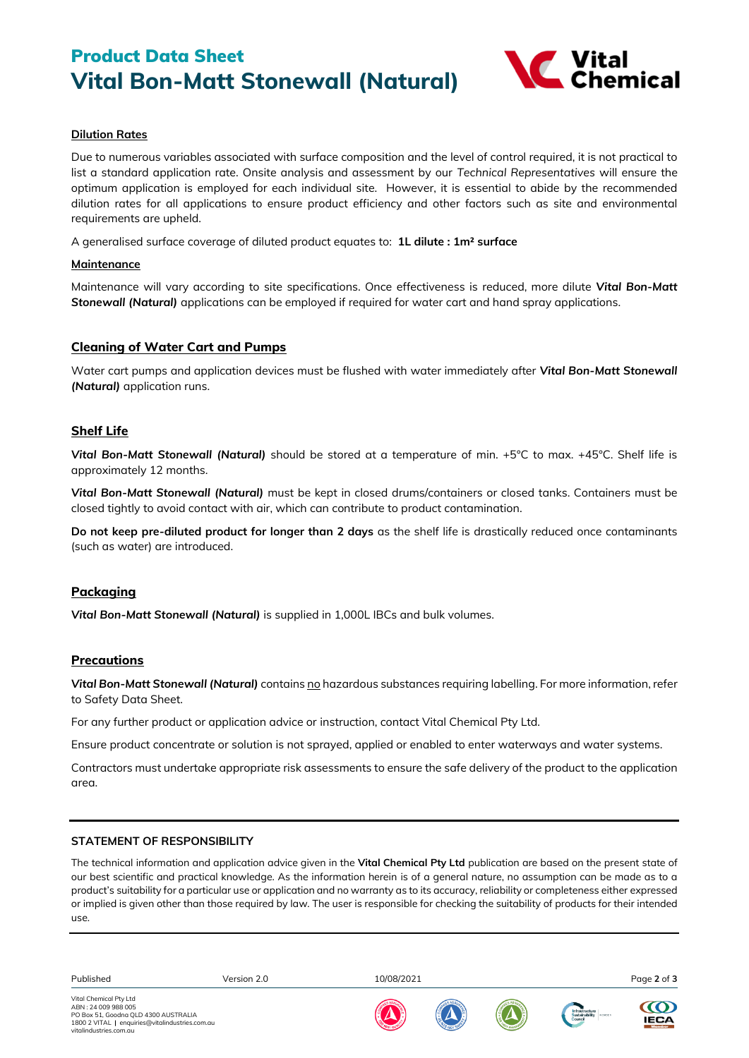# Product Data Sheet **Vital Bon-Matt Stonewall (Natural)**



### **Dilution Rates**

Due to numerous variables associated with surface composition and the level of control required, it is not practical to list a standard application rate. Onsite analysis and assessment by our *Technical Representatives* will ensure the optimum application is employed for each individual site. However, it is essential to abide by the recommended dilution rates for all applications to ensure product efficiency and other factors such as site and environmental requirements are upheld.

A generalised surface coverage of diluted product equates to: **1L dilute : 1m² surface**

#### **Maintenance**

Maintenance will vary according to site specifications. Once effectiveness is reduced, more dilute *Vital Bon-Matt Stonewall (Natural)* applications can be employed if required for water cart and hand spray applications.

## **Cleaning of Water Cart and Pumps**

Water cart pumps and application devices must be flushed with water immediately after *Vital Bon-Matt Stonewall (Natural)* application runs.

## **Shelf Life**

*Vital Bon-Matt Stonewall (Natural)* should be stored at a temperature of min. +5°C to max. +45°C. Shelf life is approximately 12 months.

*Vital Bon-Matt Stonewall (Natural)* must be kept in closed drums/containers or closed tanks. Containers must be closed tightly to avoid contact with air, which can contribute to product contamination.

**Do not keep pre-diluted product for longer than 2 days** as the shelf life is drastically reduced once contaminants (such as water) are introduced.

## **Packaging**

*Vital Bon-Matt Stonewall (Natural)* is supplied in 1,000L IBCs and bulk volumes.

## **Precautions**

*Vital Bon-Matt Stonewall (Natural)* contains no hazardous substances requiring labelling. For more information, refer to Safety Data Sheet.

For any further product or application advice or instruction, contact Vital Chemical Pty Ltd.

Ensure product concentrate or solution is not sprayed, applied or enabled to enter waterways and water systems.

Contractors must undertake appropriate risk assessments to ensure the safe delivery of the product to the application area.

#### **STATEMENT OF RESPONSIBILITY**

The technical information and application advice given in the **Vital Chemical Pty Ltd** publication are based on the present state of our best scientific and practical knowledge. As the information herein is of a general nature, no assumption can be made as to a product's suitability for a particular use or application and no warranty as to its accuracy, reliability or completeness either expressed or implied is given other than those required by law. The user is responsible for checking the suitability of products for their intended use.

Published Version 2.0 10/08/2021 Page **2** of **3**